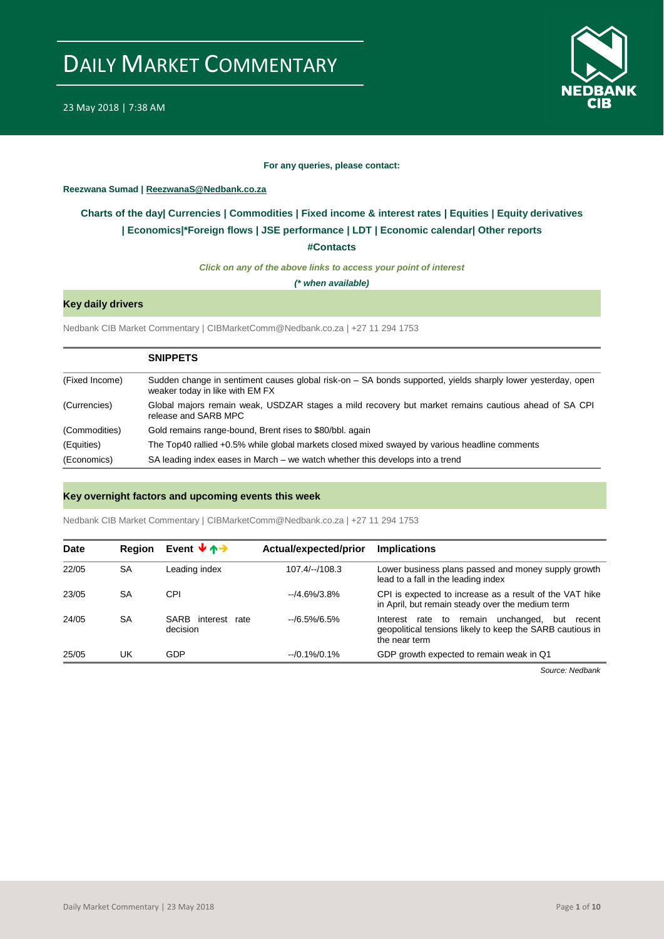

#### **For any queries, please contact:**

#### <span id="page-0-0"></span>**Reezwana Sumad | ReezwanaS@Nedbank.co.za**

### **Charts of the day| [Currencies](#page-2-0) [| Commodities](#page-3-0) | [Fixed income &](#page-1-0) interest rates | [Equities](#page-4-0) | Equity derivatives | [Economics|\\*](#page-6-0)Foreign flows [| JSE performance](#page-4-1) | LDT | [Economic calendar|](#page-7-0) Other reports**

**[#Contacts](#page-8-0)**

*Click on any of the above links to access your point of interest*

*(\* when available)*

#### **Key daily drivers**

Nedbank CIB Market Commentary | CIBMarketComm@Nedbank.co.za | +27 11 294 1753

|                | <b>SNIPPETS</b>                                                                                                                                |
|----------------|------------------------------------------------------------------------------------------------------------------------------------------------|
| (Fixed Income) | Sudden change in sentiment causes global risk-on – SA bonds supported, yields sharply lower yesterday, open<br>weaker today in like with EM FX |
| (Currencies)   | Global majors remain weak, USDZAR stages a mild recovery but market remains cautious ahead of SA CPI<br>release and SARB MPC                   |
| (Commodities)  | Gold remains range-bound, Brent rises to \$80/bbl. again                                                                                       |
| (Equities)     | The Top40 rallied +0.5% while global markets closed mixed swayed by various headline comments                                                  |
| (Economics)    | SA leading index eases in March – we watch whether this develops into a trend                                                                  |

#### **Key overnight factors and upcoming events this week**

Nedbank CIB Market Commentary | CIBMarketComm@Nedbank.co.za | +27 11 294 1753

| <b>Date</b> | <b>Region</b> | Event $\forall$ $\land \rightarrow$  | Actual/expected/prior | <b>Implications</b>                                                                                                                        |
|-------------|---------------|--------------------------------------|-----------------------|--------------------------------------------------------------------------------------------------------------------------------------------|
| 22/05       | SA            | Leading index                        | $107.4/-/108.3$       | Lower business plans passed and money supply growth<br>lead to a fall in the leading index                                                 |
| 23/05       | SA            | CPI                                  | $-4.6\%/3.8\%$        | CPI is expected to increase as a result of the VAT hike<br>in April, but remain steady over the medium term                                |
| 24/05       | SA            | SARB<br>interest<br>rate<br>decision | $-$ /6.5%/6.5%        | unchanged,<br>remain<br>rate to<br>but<br>Interest<br>recent<br>geopolitical tensions likely to keep the SARB cautious in<br>the near term |
| 25/05       | UK            | GDP                                  | $-10.1\%/0.1\%$       | GDP growth expected to remain weak in Q1                                                                                                   |

*Source: Nedbank*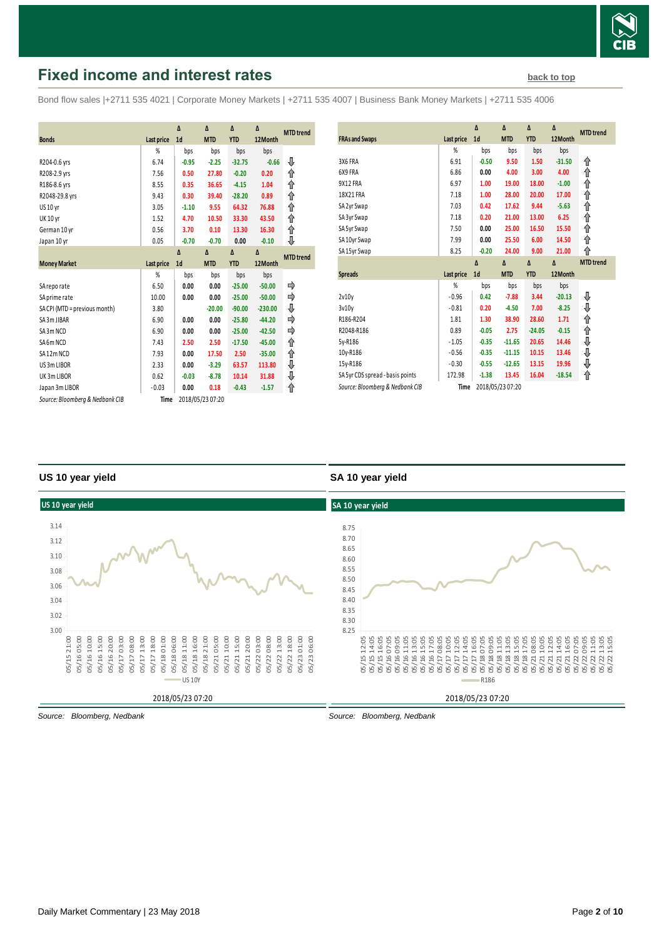

# <span id="page-1-0"></span>**Fixed income and interest rates [back to top](#page-0-0) back to top**

Bond flow sales |+2711 535 4021 | Corporate Money Markets | +2711 535 4007 | Business Bank Money Markets | +2711 535 4006

|                                 |            | Δ              | Δ                | Δ          | Δ         | <b>MTD</b> trend |
|---------------------------------|------------|----------------|------------------|------------|-----------|------------------|
| <b>Bonds</b>                    | Last price | 1 <sub>d</sub> | <b>MTD</b>       | <b>YTD</b> | 12Month   |                  |
|                                 | %          | bps            | bps              | bps        | bps       |                  |
| R204-0.6 yrs                    | 6.74       | $-0.95$        | $-2.25$          | $-32.75$   | $-0.66$   | ₩                |
| R208-2.9 yrs                    | 7.56       | 0.50           | 27.80            | $-0.20$    | 0.20      | ↟                |
| R186-8.6 yrs                    | 8.55       | 0.35           | 36.65            | $-4.15$    | 1.04      | ↟                |
| R2048-29.8 yrs                  | 9.43       | 0.30           | 39.40            | $-28.20$   | 0.89      | ⇑                |
| <b>US 10 yr</b>                 | 3.05       | $-1.10$        | 9.55             | 64.32      | 76.88     | ⇑                |
| <b>UK 10 yr</b>                 | 1.52       | 4.70           | 10.50            | 33.30      | 43.50     | ↑                |
| German 10 yr                    | 0.56       | 3.70           | 0.10             | 13.30      | 16.30     | ↑                |
| Japan 10 yr                     | 0.05       | $-0.70$        | $-0.70$          | 0.00       | $-0.10$   | ⇓                |
|                                 |            | Δ              | Δ                | Δ          | Δ         | <b>MTD</b> trend |
| <b>Money Market</b>             | Last price | 1 <sub>d</sub> | <b>MTD</b>       | <b>YTD</b> | 12Month   |                  |
|                                 | %          | bps            | bps              | bps        | bps       |                  |
| SA reporate                     | 6.50       | 0.00           | 0.00             | $-25.00$   | $-50.00$  |                  |
| SA prime rate                   | 10.00      | 0.00           | 0.00             | $-25.00$   | $-50.00$  | ⇛                |
| SA CPI (MTD = previous month)   | 3.80       |                | $-20.00$         | $-90.00$   | $-230.00$ | ⇓                |
| SA 3m JIBAR                     | 6.90       | 0.00           | 0.00             | $-25.80$   | $-44.20$  |                  |
| SA3m NCD                        | 6.90       | 0.00           | 0.00             | $-25.00$   | $-42.50$  |                  |
| SA6m NCD                        | 7.43       | 2.50           | 2.50             | $-17.50$   | $-45.00$  | ↟                |
| SA12m NCD                       | 7.93       | 0.00           | 17.50            | 2.50       | $-35.00$  | ↟                |
| US 3m LIBOR                     | 2.33       | 0.00           | $-3.29$          | 63.57      | 113.80    | ⇓                |
| UK3mLIBOR                       | 0.62       | $-0.03$        | $-8.78$          | 10.14      | 31.88     | ⇓                |
| Japan 3m LIBOR                  | $-0.03$    | 0.00           | 0.18             | $-0.43$    | $-1.57$   | ⇑                |
| Source: Bloomberg & Nedbank CIB | Time       |                | 2018/05/23 07:20 |            |           |                  |

| <b>FRAs and Swaps</b>            | Last price | Δ<br>1 <sub>d</sub> | Δ<br><b>MTD</b> | Δ<br><b>YTD</b> | Δ<br>12Month | <b>MTD</b> trend |
|----------------------------------|------------|---------------------|-----------------|-----------------|--------------|------------------|
|                                  | %          | bps                 | bps             | bps             | bps          |                  |
| 3X6 FRA                          | 6.91       | $-0.50$             | 9.50            | 1.50            | $-31.50$     | ⇑                |
| 6X9 FRA                          | 6.86       | 0.00                | 4.00            | 3.00            | 4.00         | ⇑                |
| 9X12 FRA                         | 6.97       | 1.00                | 19.00           | 18.00           | $-1.00$      | ⇑                |
| 18X21 FRA                        | 7.18       | 1.00                | 28.00           | 20.00           | 17.00        | ↟                |
| SA 2yr Swap                      | 7.03       | 0.42                | 17.62           | 9.44            | $-5.63$      | ⇑                |
| SA 3yr Swap                      | 7.18       | 0.20                | 21.00           | 13.00           | 6.25         | ⇑                |
| SA 5yr Swap                      | 7.50       | 0.00                | 25.00           | 16.50           | 15.50        | ⇑                |
| SA10yr Swap                      | 7.99       | 0.00                | 25.50           | 6.00            | 14.50        | ⇑                |
| SA15yr Swap                      | 8.25       | $-0.20$             | 24.00           | 9.00            | 21.00        | ⋔                |
|                                  |            |                     |                 |                 |              |                  |
|                                  |            | $\Delta$            | $\Delta$        | $\Delta$        | $\Delta$     | <b>MTD</b> trend |
| <b>Spreads</b>                   | Last price | 1 <sub>d</sub>      | <b>MTD</b>      | <b>YTD</b>      | 12Month      |                  |
|                                  | %          | bps                 | bps             | bps             | bps          |                  |
| 2v10v                            | $-0.96$    | 0.42                | $-7.88$         | 3.44            | $-20.13$     | ⊕                |
| 3v10v                            | $-0.81$    | 0.20                | $-4.50$         | 7.00            | $-8.25$      |                  |
| R186-R204                        | 1.81       | 1.30                | 38.90           | 28.60           | 1.71         | ⇓                |
| R2048-R186                       | 0.89       | $-0.05$             | 2.75            | $-24.05$        | $-0.15$      | ⇑<br>⇑           |
| 5y-R186                          | $-1.05$    | $-0.35$             | $-11.65$        | 20.65           | 14.46        |                  |
| 10y-R186                         | $-0.56$    | $-0.35$             | $-11.15$        | 10.15           | 13.46        | ⇓                |
| 15y-R186                         | $-0.30$    | $-0.55$             | $-12.65$        | 13.15           | 19.96        | ⇓                |
| SA 5yr CDS spread - basis points | 172.98     | $-1.38$             | 13.45           | 16.04           | $-18.54$     | ⇓<br>⇑           |

#### **US 10 year yield**

#### **SA 10 year yield**



*Source: Bloomberg, Nedbank*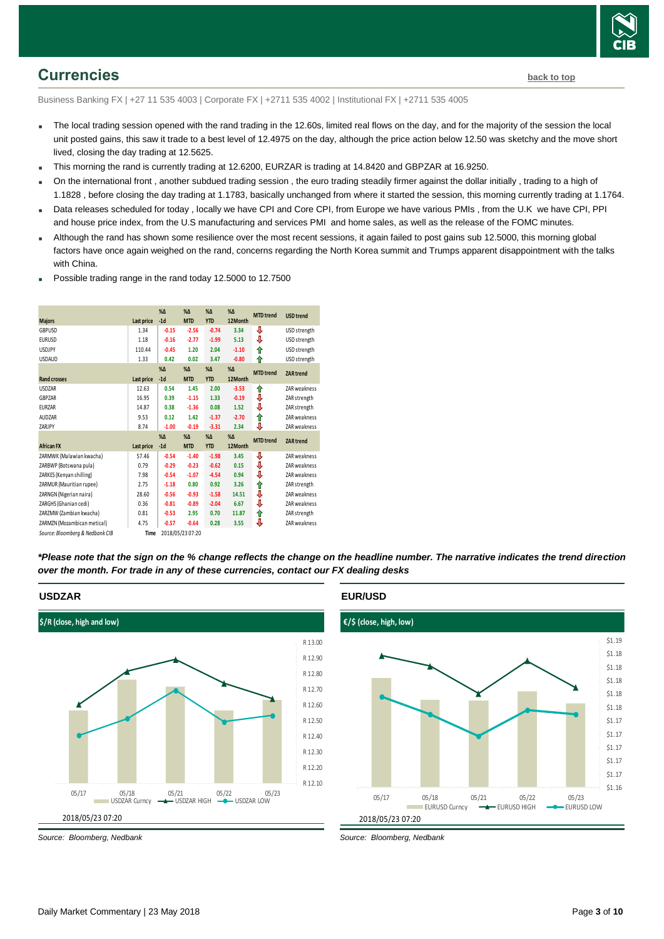

## <span id="page-2-0"></span>**Currencies [back to top](#page-0-0)**

Business Banking FX | +27 11 535 4003 | Corporate FX | +2711 535 4002 | Institutional FX | +2711 535 4005

- The local trading session opened with the rand trading in the 12.60s, limited real flows on the day, and for the majority of the session the local unit posted gains, this saw it trade to a best level of 12.4975 on the day, although the price action below 12.50 was sketchy and the move short lived, closing the day trading at 12.5625.
- This morning the rand is currently trading at 12.6200, EURZAR is trading at 14.8420 and GBPZAR at 16.9250.
- On the international front , another subdued trading session , the euro trading steadily firmer against the dollar initially , trading to a high of 1.1828 , before closing the day trading at 1.1783, basically unchanged from where it started the session, this morning currently trading at 1.1764.
- Data releases scheduled for today , locally we have CPI and Core CPI, from Europe we have various PMIs , from the U.K we have CPI, PPI and house price index, from the U.S manufacturing and services PMI and home sales, as well as the release of the FOMC minutes.
- Although the rand has shown some resilience over the most recent sessions, it again failed to post gains sub 12.5000, this morning global factors have once again weighed on the rand, concerns regarding the North Korea summit and Trumps apparent disappointment with the talks with China.
- Possible trading range in the rand today 12.5000 to 12.7500

|                                 |            | $% \Delta$   | $% \Delta$       | $% \Delta$   | $% \Delta$   | <b>MTD</b> trend | <b>USD</b> trend |
|---------------------------------|------------|--------------|------------------|--------------|--------------|------------------|------------------|
| <b>Majors</b>                   | Last price | $-1d$        | <b>MTD</b>       | <b>YTD</b>   | 12Month      |                  |                  |
| GBPUSD                          | 1.34       | $-0.15$      | $-2.56$          | $-0.74$      | 3.34         | ⇩                | USD strength     |
| <b>EURUSD</b>                   | 1.18       | $-0.16$      | $-2.77$          | $-1.99$      | 5.13         | ⇩                | USD strength     |
| <b>USDJPY</b>                   | 110.44     | $-0.45$      | 1.20             | 2.04         | $-1.10$      | ⇑                | USD strength     |
| <b>USDAUD</b>                   | 1.33       | 0.42         | 0.02             | 3.47         | $-0.80$      | ⇑                | USD strength     |
|                                 |            | $%$ $\Delta$ | $%$ $\Delta$     | $%$ $\Delta$ | $%$ $\Delta$ | <b>MTD</b> trend | <b>ZAR trend</b> |
| <b>Rand crosses</b>             | Last price | $-1d$        | <b>MTD</b>       | <b>YTD</b>   | 12Month      |                  |                  |
| <b>USDZAR</b>                   | 12.63      | 0.54         | 1.45             | 2.00         | $-3.53$      | ⇑                | ZAR weakness     |
| GBPZAR                          | 16.95      | 0.39         | $-1.15$          | 1.33         | $-0.19$      | ⇓                | ZAR strength     |
| <b>EURZAR</b>                   | 14.87      | 0.38         | $-1.36$          | 0.08         | 1.52         | ⇓                | ZAR strength     |
| AUDZAR                          | 9.53       | 0.12         | 1.42             | $-1.37$      | $-2.70$      | ↟                | ZAR weakness     |
| ZARJPY                          | 8.74       | $-1.00$      | $-0.19$          | $-3.31$      | 2.34         | ⇓                | ZAR weakness     |
|                                 |            | $%$ $\Delta$ | $% \Delta$       | $%$ $\Delta$ | $%$ $\Delta$ | <b>MTD</b> trend | <b>ZAR trend</b> |
| <b>African FX</b>               | Last price | $-1d$        | <b>MTD</b>       | <b>YTD</b>   | 12Month      |                  |                  |
| ZARMWK (Malawian kwacha)        | 57.46      | $-0.54$      | $-1.40$          | $-1.98$      | 3.45         | ⊕                | ZAR weakness     |
| ZARBWP (Botswana pula)          | 0.79       | $-0.29$      | $-0.23$          | $-0.62$      | 0.15         | ♦                | ZAR weakness     |
| ZARKES (Kenyan shilling)        | 7.98       | $-0.54$      | $-1.07$          | $-4.54$      | 0.94         | ♦                | ZAR weakness     |
| ZARMUR (Mauritian rupee)        | 2.75       | $-1.18$      | 0.80             | 0.92         | 3.26         | ↟                | ZAR strength     |
| ZARNGN (Nigerian naira)         | 28.60      | $-0.56$      | $-0.93$          | $-1.58$      | 14.51        | ⇓                | ZAR weakness     |
| ZARGHS (Ghanian cedi)           | 0.36       | $-0.81$      | $-0.89$          | $-2.04$      | 6.67         | ⇓                | ZAR weakness     |
| ZARZMW (Zambian kwacha)         | 0.81       | $-0.53$      | 2.95             | 0.70         | 11.87        | ↟                | ZAR strength     |
| ZARMZN (Mozambican metical)     | 4.75       | $-0.57$      | $-0.64$          | 0.28         | 3.55         | ⇩                | ZAR weakness     |
| Source: Bloomberg & Nedbank CIB | Time       |              | 2018/05/23 07:20 |              |              |                  |                  |

*\*Please note that the sign on the % change reflects the change on the headline number. The narrative indicates the trend direction over the month. For trade in any of these currencies, contact our FX dealing desks*

#### **USDZAR**



*Source: Bloomberg, Nedbank*

#### **EUR/USD**

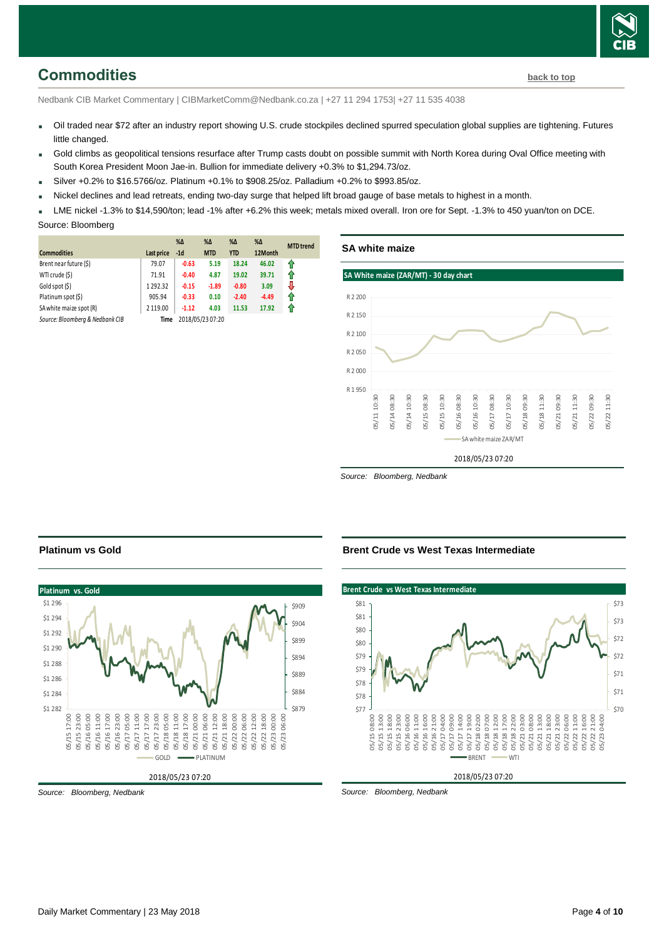# <span id="page-3-0"></span>**Commodities [back to top](#page-0-0)**

Nedbank CIB Market Commentary | CIBMarketComm@Nedbank.co.za | +27 11 294 1753| +27 11 535 4038

- Oil traded near \$72 after an industry report showing U.S. crude stockpiles declined spurred speculation global supplies are tightening. Futures little changed.
- Gold climbs as geopolitical tensions resurface after Trump casts doubt on possible summit with North Korea during Oval Office meeting with South Korea President Moon Jae-in. Bullion for immediate delivery +0.3% to \$1,294.73/oz.
- $Silver +0.2%$  to \$16.5766/oz. Platinum +0.1% to \$908.25/oz. Palladium +0.2% to \$993.85/oz.
- Nickel declines and lead retreats, ending two-day surge that helped lift broad gauge of base metals to highest in a month.
- LME nickel -1.3% to \$14,590/ton; lead -1% after +6.2% this week; metals mixed overall. Iron ore for Sept. -1.3% to 450 yuan/ton on DCE.

Source: Bloomberg

| <b>Commodities</b>              | Last price | $% \Delta$<br>$-1d$ | $% \Delta$<br><b>MTD</b> | %Δ<br><b>YTD</b> | $% \Delta$<br>12Month | <b>MTD</b> trend |
|---------------------------------|------------|---------------------|--------------------------|------------------|-----------------------|------------------|
| Brent near future (\$)          | 79.07      | $-0.63$             | 5.19                     | 18.24            | 46.02                 | ⇑                |
|                                 |            |                     |                          |                  |                       |                  |
| WTI crude (\$)                  | 71.91      | $-0.40$             | 4.87                     | 19.02            | 39.71                 | 1                |
| Gold spot (\$)                  | 1292.32    | $-0.15$             | $-1.89$                  | $-0.80$          | 3.09                  | J                |
| Platinum spot (\$)              | 905.94     | $-0.33$             | 0.10                     | $-2.40$          | $-4.49$               | 11               |
| SA white maize spot (R)         | 2 119.00   | $-1.12$             | 4.03                     | 11.53            | 17.92                 | 11               |
| Source: Bloomberg & Nedbank CIB | Time       |                     | 2018/05/23 07:20         |                  |                       |                  |



*Source: Bloomberg, Nedbank*

### **Platinum vs Gold**



*Source: Bloomberg, Nedbank*

#### **Brent Crude vs West Texas Intermediate**

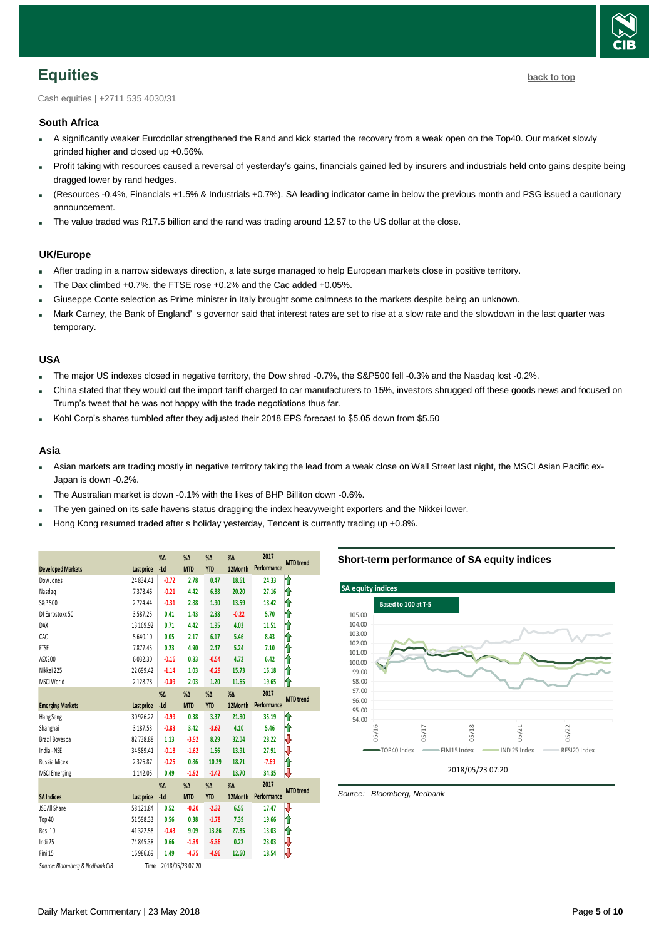

<span id="page-4-0"></span>Cash equities | +2711 535 4030/31

#### **South Africa**

- A significantly weaker Eurodollar strengthened the Rand and kick started the recovery from a weak open on the Top40. Our market slowly grinded higher and closed up +0.56%.
- Profit taking with resources caused a reversal of yesterday's gains, financials gained led by insurers and industrials held onto gains despite being dragged lower by rand hedges.
- (Resources -0.4%, Financials +1.5% & Industrials +0.7%). SA leading indicator came in below the previous month and PSG issued a cautionary announcement.
- The value traded was R17.5 billion and the rand was trading around 12.57 to the US dollar at the close.

#### **UK/Europe**

- After trading in a narrow sideways direction, a late surge managed to help European markets close in positive territory.
- The Dax climbed +0.7%, the FTSE rose +0.2% and the Cac added +0.05%.
- Giuseppe Conte selection as Prime minister in Italy brought some calmness to the markets despite being an unknown.
- Mark Carney, the Bank of England' s governor said that interest rates are set to rise at a slow rate and the slowdown in the last quarter was temporary.

#### **USA**

- The major US indexes closed in negative territory, the Dow shred -0.7%, the S&P500 fell -0.3% and the Nasdaq lost -0.2%.
- China stated that they would cut the import tariff charged to car manufacturers to 15%, investors shrugged off these goods news and focused on Trump's tweet that he was not happy with the trade negotiations thus far.
- Kohl Corp's shares tumbled after they adjusted their 2018 EPS forecast to \$5.05 down from \$5.50

#### **Asia**

- Asian markets are trading mostly in negative territory taking the lead from a weak close on Wall Street last night, the MSCI Asian Pacific ex-Japan is down -0.2%.
- The Australian market is down -0.1% with the likes of BHP Billiton down -0.6%.
- The yen gained on its safe havens status dragging the index heavyweight exporters and the Nikkei lower.
- Hong Kong resumed traded after s holiday yesterday, Tencent is currently trading up +0.8%.

<span id="page-4-1"></span>

|                                 |                   | $% \Delta$ | $% \Delta$       | %Δ            | $\%$ $\Delta$ | 2017        |                  |
|---------------------------------|-------------------|------------|------------------|---------------|---------------|-------------|------------------|
| <b>Developed Markets</b>        | <b>Last price</b> | $-1d$      | <b>MTD</b>       | <b>YTD</b>    | 12Month       | Performance | <b>MTD</b> trend |
| Dow Jones                       | 24 8 34.41        | $-0.72$    | 2.78             | 0.47          | 18.61         | 24.33       | ⇑                |
| Nasdaq                          | 7378.46           | $-0.21$    | 4.42             | 6.88          | 20.20         | 27.16       | ⇑                |
| S&P 500                         | 2724.44           | $-0.31$    | 2.88             | 1.90          | 13.59         | 18.42       | ⇑                |
| DJ Eurostoxx 50                 | 3587.25           | 0.41       | 1.43             | 2.38          | $-0.22$       | 5.70        | ⇑                |
| DAX                             | 13 169.92         | 0.71       | 4.42             | 1.95          | 4.03          | 11.51       | ⇑                |
| CAC                             | 5640.10           | 0.05       | 2.17             | 6.17          | 5.46          | 8.43        | ⇑                |
| FTSE                            | 7877.45           | 0.23       | 4.90             | 2.47          | 5.24          | 7.10        | ⇑                |
| ASX200                          | 6032.30           | $-0.16$    | 0.83             | $-0.54$       | 4.72          | 6.42        | ⋔                |
| Nikkei 225                      | 22 699.42         | $-1.14$    | 1.03             | $-0.29$       | 15.73         | 16.18       | ⋔                |
| MSCI World                      | 2128.78           | $-0.09$    | 2.03             | 1.20          | 11.65         | 19.65       | ⋔                |
|                                 |                   | $% \Delta$ | $% \Delta$       | $% \Delta$    | $% \Delta$    | 2017        |                  |
| <b>Emerging Markets</b>         | <b>Last price</b> | $-1d$      | <b>MTD</b>       | <b>YTD</b>    | 12Month       | Performance | <b>MTD</b> trend |
| Hang Seng                       | 30 926.22         | $-0.99$    | 0.38             | 3.37          | 21.80         | 35.19       | ⇑                |
| Shanghai                        | 3 187.53          | $-0.83$    | 3.42             | $-3.62$       | 4.10          | 5.46        | ⇑                |
| Brazil Bovespa                  | 82738.88          | 1.13       | $-3.92$          | 8.29          | 32.04         | 28.22       | ₩                |
| India - NSE                     | 34 589.41         | $-0.18$    | $-1.62$          | 1.56          | 13.91         | 27.91       | ₩                |
| Russia Micex                    | 2326.87           | $-0.25$    | 0.86             | 10.29         | 18.71         | $-7.69$     | ⇑                |
| <b>MSCI</b> Emerging            | 1142.05           | 0.49       | $-1.92$          | $-1.42$       | 13.70         | 34.35       | ⇩                |
|                                 |                   | $% \Delta$ | $% \Delta$       | $\%$ $\Delta$ | $% \Delta$    | 2017        | <b>MTD</b> trend |
| <b>SA Indices</b>               | Last price        | $-1d$      | <b>MTD</b>       | <b>YTD</b>    | 12Month       | Performance |                  |
| JSE All Share                   | 58 121.84         | 0.52       | $-0.20$          | $-2.32$       | 6.55          | 17.47       | ₩                |
| Top 40                          | 51598.33          | 0.56       | 0.38             | $-1.78$       | 7.39          | 19.66       | ⋔                |
| Resi 10                         | 41322.58          | $-0.43$    | 9.09             | 13.86         | 27.85         | 13.03       | ⇑                |
| Indi 25                         | 74 845.38         | 0.66       | $-1.39$          | $-5.36$       | 0.22          | 23.03       | ₩                |
| Fini 15                         | 16 986.69         | 1.49       | $-4.75$          | $-4.96$       | 12.60         | 18.54       | V                |
| Source: Bloomberg & Nedbank CIB | Time              |            | 2018/05/23 07:20 |               |               |             |                  |

#### **Short-term performance of SA equity indices**

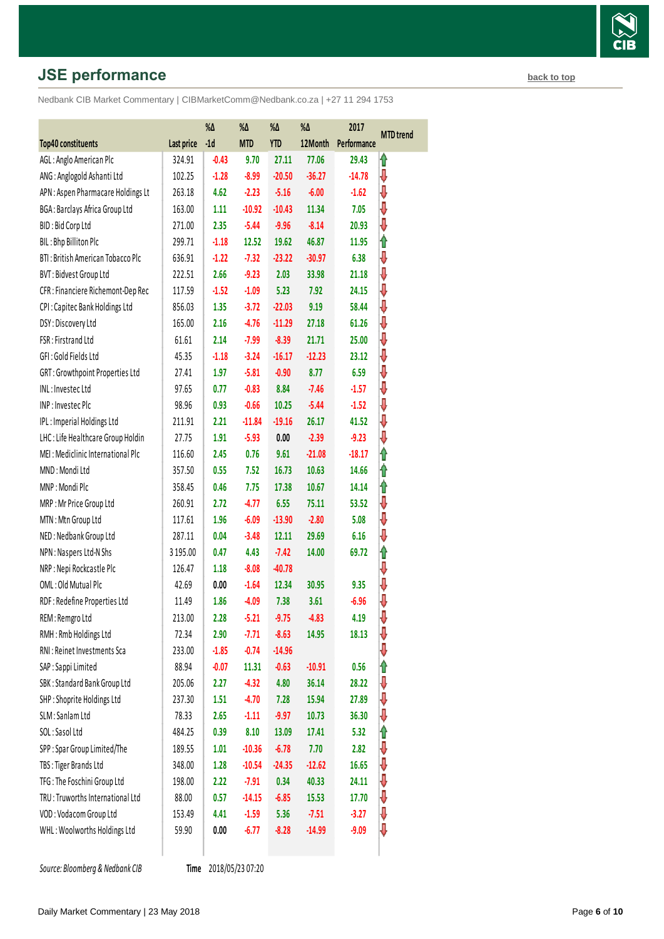# **JSE performance [back to top](#page-0-0) back to top**

Nedbank CIB Market Commentary | CIBMarketComm@Nedbank.co.za | +27 11 294 1753

|                                    |            | %Δ      | %Δ         | %Δ         | %Δ       | 2017        | <b>MTD</b> trend |
|------------------------------------|------------|---------|------------|------------|----------|-------------|------------------|
| <b>Top40 constituents</b>          | Last price | $-1d$   | <b>MTD</b> | <b>YTD</b> | 12Month  | Performance |                  |
| AGL: Anglo American Plc            | 324.91     | $-0.43$ | 9.70       | 27.11      | 77.06    | 29.43       | It               |
| ANG: Anglogold Ashanti Ltd         | 102.25     | $-1.28$ | $-8.99$    | $-20.50$   | $-36.27$ | $-14.78$    | ⇩                |
| APN : Aspen Pharmacare Holdings Lt | 263.18     | 4.62    | $-2.23$    | $-5.16$    | $-6.00$  | $-1.62$     | ⇩                |
| BGA: Barclays Africa Group Ltd     | 163.00     | 1.11    | $-10.92$   | $-10.43$   | 11.34    | 7.05        | ⇓                |
| BID: Bid Corp Ltd                  | 271.00     | 2.35    | $-5.44$    | $-9.96$    | $-8.14$  | 20.93       | ⇩                |
| BIL: Bhp Billiton Plc              | 299.71     | $-1.18$ | 12.52      | 19.62      | 46.87    | 11.95       | ⇑                |
| BTI: British American Tobacco Plc  | 636.91     | $-1.22$ | $-7.32$    | $-23.22$   | $-30.97$ | 6.38        | ⇓                |
| <b>BVT: Bidvest Group Ltd</b>      | 222.51     | 2.66    | $-9.23$    | 2.03       | 33.98    | 21.18       | ⇩                |
| CFR : Financiere Richemont-Dep Rec | 117.59     | $-1.52$ | $-1.09$    | 5.23       | 7.92     | 24.15       | ⇩                |
| CPI: Capitec Bank Holdings Ltd     | 856.03     | 1.35    | $-3.72$    | $-22.03$   | 9.19     | 58.44       | ⇩                |
| DSY: Discovery Ltd                 | 165.00     | 2.16    | $-4.76$    | $-11.29$   | 27.18    | 61.26       | ⇩                |
| FSR: Firstrand Ltd                 | 61.61      | 2.14    | $-7.99$    | $-8.39$    | 21.71    | 25.00       | ⇩                |
| GFI: Gold Fields Ltd               | 45.35      | $-1.18$ | $-3.24$    | $-16.17$   | $-12.23$ | 23.12       | ⇩                |
| GRT: Growthpoint Properties Ltd    | 27.41      | 1.97    | $-5.81$    | $-0.90$    | 8.77     | 6.59        | ⇩                |
| INL: Investec Ltd                  | 97.65      | 0.77    | $-0.83$    | 8.84       | $-7.46$  | $-1.57$     | ⇩                |
| INP: Investec Plc                  | 98.96      | 0.93    | $-0.66$    | 10.25      | $-5.44$  | $-1.52$     | ⇓                |
| IPL: Imperial Holdings Ltd         | 211.91     | 2.21    | $-11.84$   | $-19.16$   | 26.17    | 41.52       | ⇩                |
| LHC: Life Healthcare Group Holdin  | 27.75      | 1.91    | $-5.93$    | 0.00       | $-2.39$  | $-9.23$     | ⇩                |
| MEI: Mediclinic International Plc  | 116.60     | 2.45    | 0.76       | 9.61       | $-21.08$ | $-18.17$    | ⇑                |
| MND: Mondi Ltd                     | 357.50     | 0.55    | 7.52       | 16.73      | 10.63    | 14.66       | ⇑                |
| MNP: Mondi Plc                     | 358.45     | 0.46    | 7.75       | 17.38      | 10.67    | 14.14       | ⇑                |
| MRP: Mr Price Group Ltd            | 260.91     | 2.72    | $-4.77$    | 6.55       | 75.11    | 53.52       | ⇓                |
| MTN: Mtn Group Ltd                 | 117.61     | 1.96    | $-6.09$    | $-13.90$   | $-2.80$  | 5.08        | ⇩                |
| NED: Nedbank Group Ltd             | 287.11     | 0.04    | $-3.48$    | 12.11      | 29.69    | 6.16        | ⇩                |
| NPN: Naspers Ltd-N Shs             | 3 195.00   | 0.47    | 4.43       | $-7.42$    | 14.00    | 69.72       | ⇑                |
| NRP: Nepi Rockcastle Plc           | 126.47     | 1.18    | $-8.08$    | $-40.78$   |          |             | ⇩                |
| OML: Old Mutual Plc                | 42.69      | 0.00    | $-1.64$    | 12.34      | 30.95    | 9.35        | ⇩                |
| RDF: Redefine Properties Ltd       | 11.49      | 1.86    | $-4.09$    | 7.38       | 3.61     | $-6.96$     | ⇩                |
| REM: Remgro Ltd                    | 213.00     | 2.28    | $-5.21$    | $-9.75$    | $-4.83$  | 4.19        | ⇩                |
| RMH: Rmb Holdings Ltd              | 72.34      | 2.90    | $-7.71$    | $-8.63$    | 14.95    | 18.13       | ⇩                |
| RNI: Reinet Investments Sca        | 233.00     | $-1.85$ | $-0.74$    | $-14.96$   |          |             | ⇩                |
| SAP: Sappi Limited                 | 88.94      | $-0.07$ | 11.31      | $-0.63$    | $-10.91$ | 0.56        | ⇑                |
| SBK: Standard Bank Group Ltd       | 205.06     | 2.27    | $-4.32$    | 4.80       | 36.14    | 28.22       | ⇩                |
| SHP: Shoprite Holdings Ltd         | 237.30     | 1.51    | $-4.70$    | 7.28       | 15.94    | 27.89       |                  |
| SLM: Sanlam Ltd                    | 78.33      | 2.65    | $-1.11$    | $-9.97$    | 10.73    | 36.30       | ⇩                |
| SOL: Sasol Ltd                     | 484.25     | 0.39    | 8.10       | 13.09      | 17.41    | 5.32        | ⇑                |
| SPP: Spar Group Limited/The        | 189.55     | 1.01    | $-10.36$   | $-6.78$    | 7.70     | 2.82        | ⇩                |
| TBS: Tiger Brands Ltd              | 348.00     | 1.28    | $-10.54$   | $-24.35$   | $-12.62$ | 16.65       | ⇓                |
| TFG: The Foschini Group Ltd        | 198.00     | 2.22    | $-7.91$    | 0.34       | 40.33    | 24.11       | ⇓                |
| TRU: Truworths International Ltd   | 88.00      | 0.57    | $-14.15$   | $-6.85$    | 15.53    | 17.70       | ⇩                |
| VOD: Vodacom Group Ltd             | 153.49     | 4.41    | $-1.59$    | 5.36       | $-7.51$  | $-3.27$     | ⇩                |
| WHL: Woolworths Holdings Ltd       | 59.90      | 0.00    | $-6.77$    | $-8.28$    | $-14.99$ | $-9.09$     | ₩                |
|                                    |            |         |            |            |          |             |                  |

**Source: Bloomberg & Nedbank CIB** 

Time 2018/05/23 07:20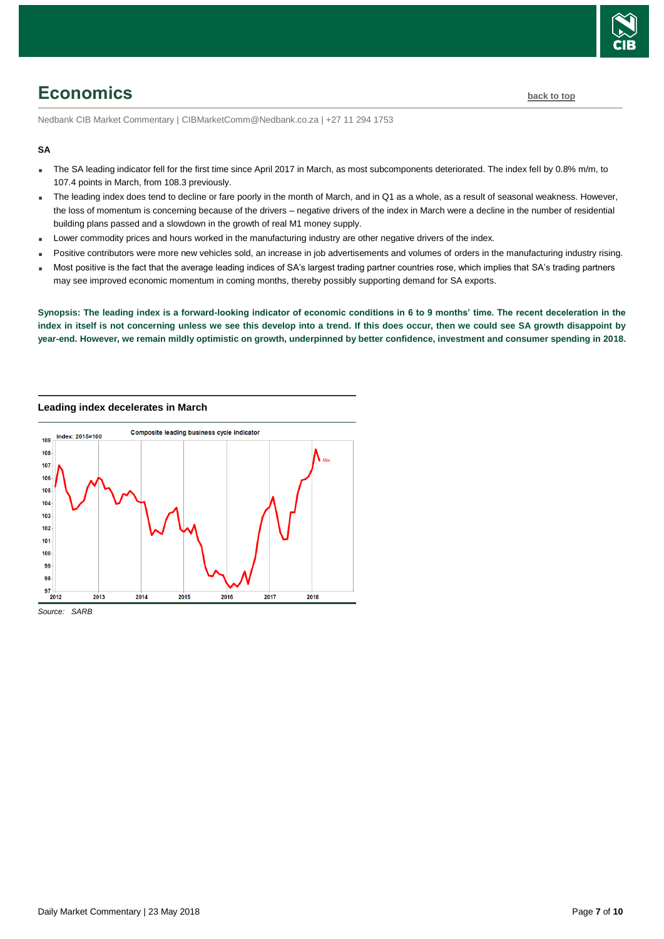

# <span id="page-6-0"></span>**Economics [back to top](#page-0-0)**

Nedbank CIB Market Commentary | CIBMarketComm@Nedbank.co.za | +27 11 294 1753

#### **SA**

- The SA leading indicator fell for the first time since April 2017 in March, as most subcomponents deteriorated. The index fell by 0.8% m/m, to 107.4 points in March, from 108.3 previously.
- The leading index does tend to decline or fare poorly in the month of March, and in Q1 as a whole, as a result of seasonal weakness. However, the loss of momentum is concerning because of the drivers – negative drivers of the index in March were a decline in the number of residential building plans passed and a slowdown in the growth of real M1 money supply.
- Lower commodity prices and hours worked in the manufacturing industry are other negative drivers of the index.
- Positive contributors were more new vehicles sold, an increase in job advertisements and volumes of orders in the manufacturing industry rising.
- Most positive is the fact that the average leading indices of SA's largest trading partner countries rose, which implies that SA's trading partners may see improved economic momentum in coming months, thereby possibly supporting demand for SA exports.

**Synopsis: The leading index is a forward-looking indicator of economic conditions in 6 to 9 months' time. The recent deceleration in the index in itself is not concerning unless we see this develop into a trend. If this does occur, then we could see SA growth disappoint by year-end. However, we remain mildly optimistic on growth, underpinned by better confidence, investment and consumer spending in 2018.**

**Leading index decelerates in March**



*Source: SARB*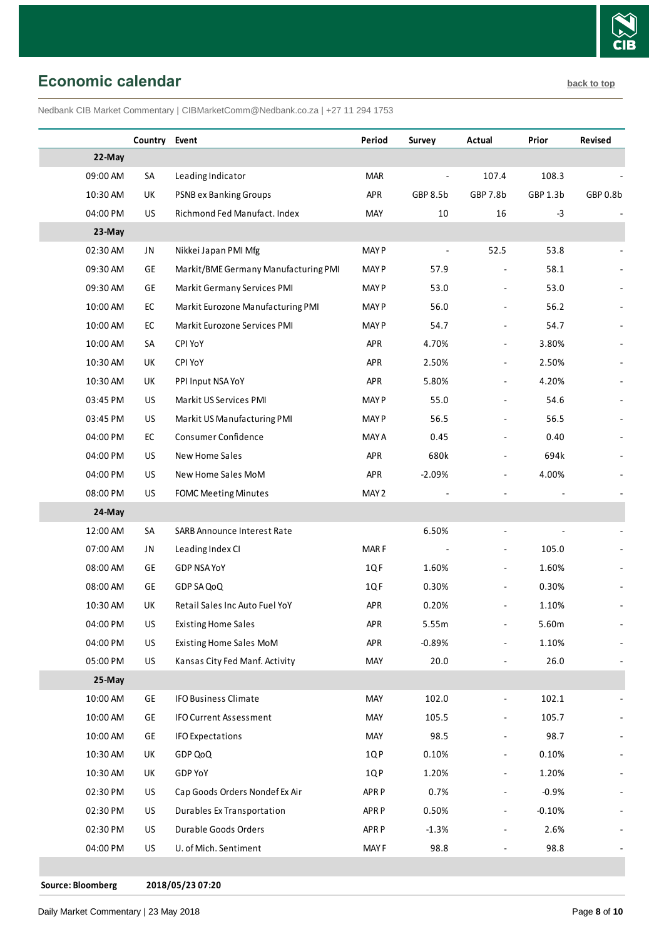

<span id="page-7-0"></span>**Economic calendar [back to top](#page-0-0)** 

Nedbank CIB Market Commentary | CIBMarketComm@Nedbank.co.za | +27 11 294 1753

|          | Country Event |                                      | Period           | Survey   | Actual                   | Prior    | Revised  |
|----------|---------------|--------------------------------------|------------------|----------|--------------------------|----------|----------|
| 22-May   |               |                                      |                  |          |                          |          |          |
| 09:00 AM | SA            | Leading Indicator                    | <b>MAR</b>       |          | 107.4                    | 108.3    |          |
| 10:30 AM | UK            | PSNB ex Banking Groups               | APR              | GBP 8.5b | GBP 7.8b                 | GBP 1.3b | GBP 0.8b |
| 04:00 PM | US            | Richmond Fed Manufact. Index         | MAY              | 10       | 16                       | $-3$     |          |
| 23-May   |               |                                      |                  |          |                          |          |          |
| 02:30 AM | JN            | Nikkei Japan PMI Mfg                 | <b>MAY P</b>     |          | 52.5                     | 53.8     |          |
| 09:30 AM | GE            | Markit/BME Germany Manufacturing PMI | <b>MAY P</b>     | 57.9     |                          | 58.1     |          |
| 09:30 AM | GE            | Markit Germany Services PMI          | <b>MAY P</b>     | 53.0     |                          | 53.0     |          |
| 10:00 AM | ${\sf EC}$    | Markit Eurozone Manufacturing PMI    | <b>MAY P</b>     | 56.0     |                          | 56.2     |          |
| 10:00 AM | EC            | Markit Eurozone Services PMI         | <b>MAY P</b>     | 54.7     |                          | 54.7     |          |
| 10:00 AM | SA            | CPI YoY                              | APR              | 4.70%    | $\overline{a}$           | 3.80%    |          |
| 10:30 AM | UK            | CPI YoY                              | APR              | 2.50%    | ÷,                       | 2.50%    |          |
| 10:30 AM | UK            | PPI Input NSA YoY                    | APR              | 5.80%    | ÷                        | 4.20%    |          |
| 03:45 PM | US            | Markit US Services PMI               | <b>MAY P</b>     | 55.0     |                          | 54.6     |          |
| 03:45 PM | US            | Markit US Manufacturing PMI          | <b>MAY P</b>     | 56.5     |                          | 56.5     |          |
| 04:00 PM | EC            | Consumer Confidence                  | <b>MAY A</b>     | 0.45     |                          | 0.40     |          |
| 04:00 PM | US            | New Home Sales                       | <b>APR</b>       | 680k     |                          | 694k     |          |
| 04:00 PM | US            | New Home Sales MoM                   | APR              | $-2.09%$ | $\overline{\phantom{a}}$ | 4.00%    |          |
| 08:00 PM | US            | <b>FOMC Meeting Minutes</b>          | MAY 2            |          |                          |          |          |
| 24-May   |               |                                      |                  |          |                          |          |          |
| 12:00 AM | SA            | SARB Announce Interest Rate          |                  | 6.50%    |                          |          |          |
| 07:00 AM | JN            | Leading Index CI                     | MAR F            |          |                          | 105.0    |          |
| 08:00 AM | GE            | <b>GDP NSA YoY</b>                   | 1QF              | 1.60%    | $\overline{\phantom{a}}$ | 1.60%    |          |
| 08:00 AM | GE            | GDP SA QoQ                           | 1QF              | 0.30%    | $\overline{\phantom{a}}$ | 0.30%    |          |
| 10:30 AM | UK            | Retail Sales Inc Auto Fuel YoY       | APR              | 0.20%    |                          | 1.10%    |          |
| 04:00 PM | US            | <b>Existing Home Sales</b>           | APR              | 5.55m    |                          | 5.60m    |          |
| 04:00 PM | US            | Existing Home Sales MoM              | APR              | $-0.89%$ | $\overline{\phantom{a}}$ | 1.10%    |          |
| 05:00 PM | US            | Kansas City Fed Manf. Activity       | MAY              | 20.0     |                          | 26.0     |          |
| 25-May   |               |                                      |                  |          |                          |          |          |
| 10:00 AM | GE            | <b>IFO Business Climate</b>          | MAY              | 102.0    |                          | 102.1    |          |
| 10:00 AM | GE            | <b>IFO Current Assessment</b>        | MAY              | 105.5    |                          | 105.7    |          |
| 10:00 AM | GE            | <b>IFO Expectations</b>              | MAY              | 98.5     | ÷                        | 98.7     |          |
| 10:30 AM | UK            | GDP QoQ                              | 1QP              | 0.10%    | ÷                        | 0.10%    |          |
| 10:30 AM | UK            | GDP YoY                              | 1QP              | 1.20%    |                          | 1.20%    |          |
| 02:30 PM | US            | Cap Goods Orders Nondef Ex Air       | APR <sub>P</sub> | 0.7%     |                          | $-0.9%$  |          |
| 02:30 PM | US            | Durables Ex Transportation           | APR P            | 0.50%    | ÷                        | $-0.10%$ |          |
| 02:30 PM | US            | Durable Goods Orders                 | APR <sub>P</sub> | $-1.3%$  | $\overline{\phantom{a}}$ | 2.6%     |          |
| 04:00 PM | US            | U. of Mich. Sentiment                | MAY <sub>F</sub> | 98.8     |                          | 98.8     |          |
|          |               |                                      |                  |          |                          |          |          |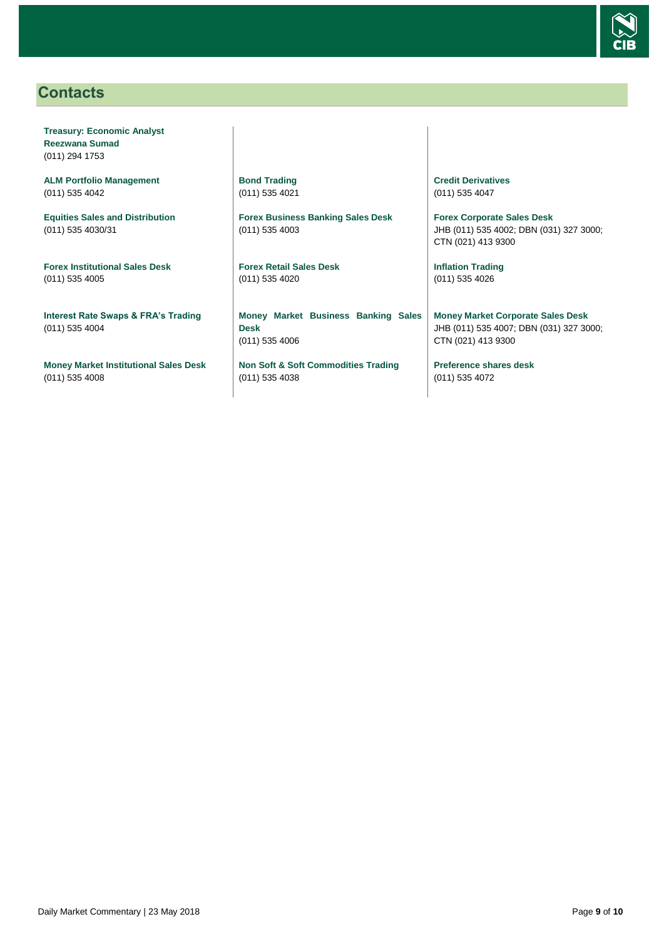

# <span id="page-8-0"></span>**Contacts**

**Treasury: Economic Analyst Reezwana Sumad** (011) 294 1753

**ALM Portfolio Management** (011) 535 4042

**Equities Sales and Distribution** (011) 535 4030/31

**Forex Institutional Sales Desk** (011) 535 4005

**Interest Rate Swaps & FRA's Trading** (011) 535 4004

**Money Market Institutional Sales Desk** (011) 535 4008

**Bond Trading** (011) 535 4021

**Forex Business Banking Sales Desk** (011) 535 4003

**Forex Retail Sales Desk** (011) 535 4020

**Money Market Business Banking Sales Desk** (011) 535 4006

**Non Soft & Soft Commodities Trading** (011) 535 4038

**Credit Derivatives**  (011) 535 4047

**Forex Corporate Sales Desk** JHB (011) 535 4002; DBN (031) 327 3000; CTN (021) 413 9300

**Inflation Trading** (011) 535 4026

**Money Market Corporate Sales Desk** JHB (011) 535 4007; DBN (031) 327 3000; CTN (021) 413 9300

**Preference shares desk** (011) 535 4072